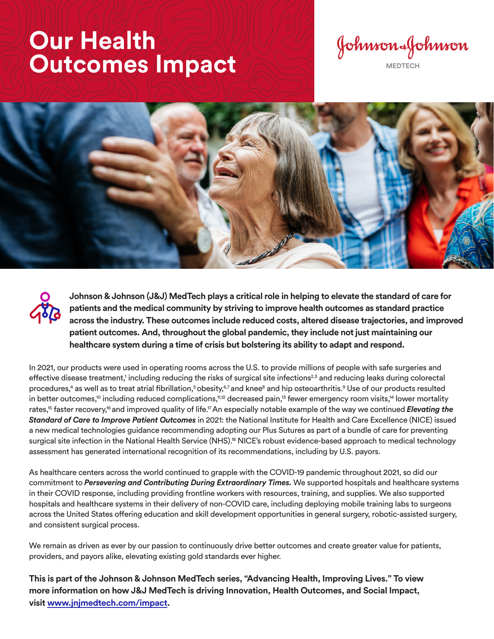## **Our Health Outcomes Impact Communist Communist Service Accounting Communist Communist Communist Communist Communist Communist Communist Communist Communist Communist Communist Communist Communist Communist Communist Communist Comm**





**Johnson & Johnson (J&J) MedTech plays a critical role in helping to elevate the standard of care for patients and the medical community by striving to improve health outcomes as standard practice across the industry. These outcomes include reduced costs, altered disease trajectories, and improved patient outcomes. And, throughout the global pandemic, they include not just maintaining our healthcare system during a time of crisis but bolstering its ability to adapt and respond.** 

In 2021, our products were used in operating rooms across the U.S. to provide millions of people with safe surgeries and effective disease treatment,<sup>1</sup> including reducing the risks of surgical site infections<sup>2,3</sup> and reducing leaks during colorectal procedures,<sup>4</sup> as well as to treat atrial fibrillation,<sup>5</sup> obesity,<sup>6,7</sup> and knee<sup>8</sup> and hip osteoarthritis.<sup>9</sup> Use of our products resulted in better outcomes,<sup>10</sup> including reduced complications,<sup>11,12</sup> decreased pain,<sup>13</sup> fewer emergency room visits,<sup>14</sup> lower mortality rates,<sup>15</sup> faster recovery,<sup>16</sup> and improved quality of life.<sup>17</sup> An especially notable example of the way we continued *Elevating the Standard of Care to Improve Patient Outcomes* in 2021: the National Institute for Health and Care Excellence (NICE) issued a new medical technologies guidance recommending adopting our Plus Sutures as part of a bundle of care for preventing surgical site infection in the National Health Service (NHS).18 NICE's robust evidence-based approach to medical technology assessment has generated international recognition of its recommendations, including by U.S. payors.

As healthcare centers across the world continued to grapple with the COVID-19 pandemic throughout 2021, so did our commitment to *Persevering and Contributing During Extraordinary Times.* We supported hospitals and healthcare systems in their COVID response, including providing frontline workers with resources, training, and supplies. We also supported hospitals and healthcare systems in their delivery of non-COVID care, including deploying mobile training labs to surgeons across the United States offering education and skill development opportunities in general surgery, robotic-assisted surgery, and consistent surgical process.

We remain as driven as ever by our passion to continuously drive better outcomes and create greater value for patients, providers, and payors alike, elevating existing gold standards ever higher.

**This is part of the Johnson & Johnson MedTech series, "Advancing Health, Improving Lives." To view more information on how J&J MedTech is driving Innovation, Health Outcomes, and Social Impact, visit www.jnjmedtech.com/impact.**